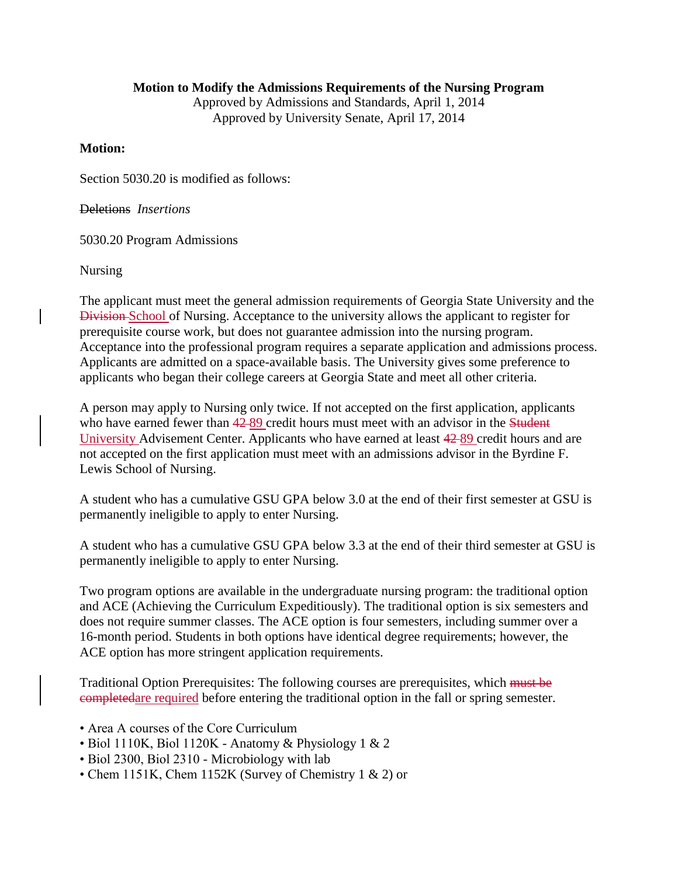## **Motion to Modify the Admissions Requirements of the Nursing Program**

Approved by Admissions and Standards, April 1, 2014 Approved by University Senate, April 17, 2014

## **Motion:**

Section 5030.20 is modified as follows:

Deletions *Insertions*

5030.20 Program Admissions

Nursing

The applicant must meet the general admission requirements of Georgia State University and the Division School of Nursing. Acceptance to the university allows the applicant to register for prerequisite course work, but does not guarantee admission into the nursing program. Acceptance into the professional program requires a separate application and admissions process. Applicants are admitted on a space-available basis. The University gives some preference to applicants who began their college careers at Georgia State and meet all other criteria.

A person may apply to Nursing only twice. If not accepted on the first application, applicants who have earned fewer than  $42-89$  credit hours must meet with an advisor in the Student University Advisement Center. Applicants who have earned at least 42 89 credit hours and are not accepted on the first application must meet with an admissions advisor in the Byrdine F. Lewis School of Nursing.

A student who has a cumulative GSU GPA below 3.0 at the end of their first semester at GSU is permanently ineligible to apply to enter Nursing.

A student who has a cumulative GSU GPA below 3.3 at the end of their third semester at GSU is permanently ineligible to apply to enter Nursing.

Two program options are available in the undergraduate nursing program: the traditional option and ACE (Achieving the Curriculum Expeditiously). The traditional option is six semesters and does not require summer classes. The ACE option is four semesters, including summer over a 16-month period. Students in both options have identical degree requirements; however, the ACE option has more stringent application requirements.

Traditional Option Prerequisites: The following courses are prerequisites, which must be completedare required before entering the traditional option in the fall or spring semester.

- Area A courses of the Core Curriculum
- Biol 1110K, Biol 1120K Anatomy & Physiology 1 & 2
- Biol 2300, Biol 2310 Microbiology with lab
- Chem 1151K, Chem 1152K (Survey of Chemistry 1 & 2) or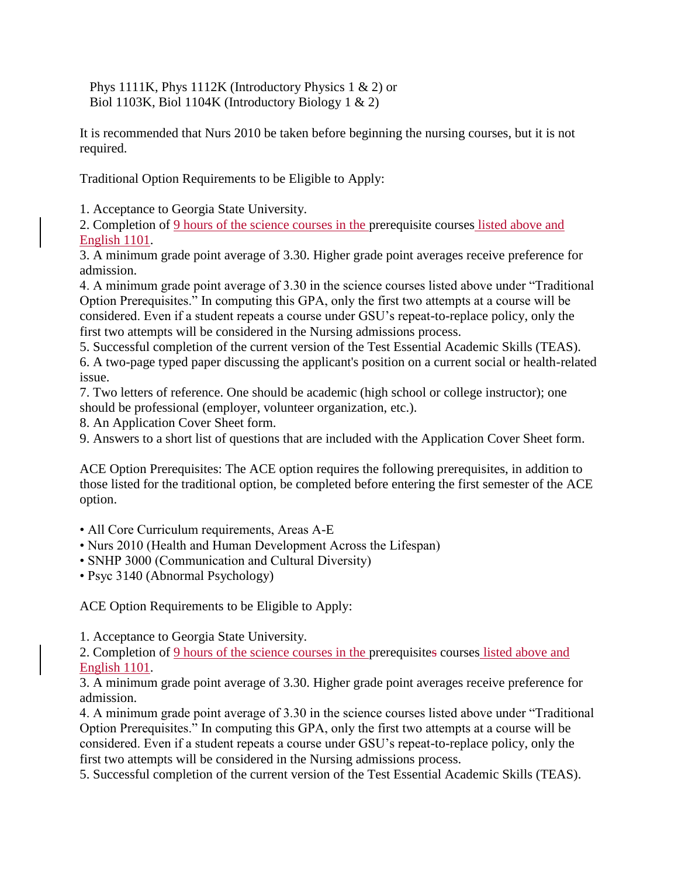Phys 1111K, Phys 1112K (Introductory Physics 1 & 2) or Biol 1103K, Biol 1104K (Introductory Biology 1 & 2)

It is recommended that Nurs 2010 be taken before beginning the nursing courses, but it is not required.

Traditional Option Requirements to be Eligible to Apply:

1. Acceptance to Georgia State University.

2. Completion of 9 hours of the science courses in the prerequisite courses listed above and English 1101.

3. A minimum grade point average of 3.30. Higher grade point averages receive preference for admission.

4. A minimum grade point average of 3.30 in the science courses listed above under "Traditional Option Prerequisites." In computing this GPA, only the first two attempts at a course will be considered. Even if a student repeats a course under GSU's repeat-to-replace policy, only the first two attempts will be considered in the Nursing admissions process.

5. Successful completion of the current version of the Test Essential Academic Skills (TEAS). 6. A two-page typed paper discussing the applicant's position on a current social or health-related

issue.

7. Two letters of reference. One should be academic (high school or college instructor); one should be professional (employer, volunteer organization, etc.).

8. An Application Cover Sheet form.

9. Answers to a short list of questions that are included with the Application Cover Sheet form.

ACE Option Prerequisites: The ACE option requires the following prerequisites, in addition to those listed for the traditional option, be completed before entering the first semester of the ACE option.

• All Core Curriculum requirements, Areas A-E

• Nurs 2010 (Health and Human Development Across the Lifespan)

• SNHP 3000 (Communication and Cultural Diversity)

• Psyc 3140 (Abnormal Psychology)

ACE Option Requirements to be Eligible to Apply:

1. Acceptance to Georgia State University.

2. Completion of 9 hours of the science courses in the prerequisites courses listed above and English 1101.

3. A minimum grade point average of 3.30. Higher grade point averages receive preference for admission.

4. A minimum grade point average of 3.30 in the science courses listed above under "Traditional Option Prerequisites." In computing this GPA, only the first two attempts at a course will be considered. Even if a student repeats a course under GSU's repeat-to-replace policy, only the first two attempts will be considered in the Nursing admissions process.

5. Successful completion of the current version of the Test Essential Academic Skills (TEAS).